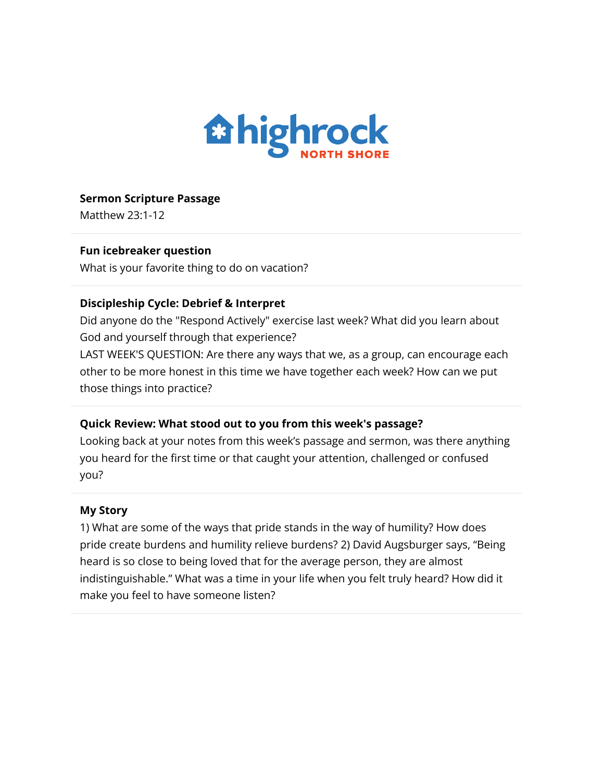

#### **Sermon Scripture Passage**

Matthew 23:1-12

#### **Fun icebreaker question**

What is your favorite thing to do on vacation?

## **Discipleship Cycle: Debrief & Interpret**

Did anyone do the "Respond Actively" exercise last week? What did you learn about God and yourself through that experience?

LAST WEEK'S QUESTION: Are there any ways that we, as a group, can encourage each other to be more honest in this time we have together each week? How can we put those things into practice?

#### **Quick Review: What stood out to you from this week's passage?**

Looking back at your notes from this week's passage and sermon, was there anything you heard for the first time or that caught your attention, challenged or confused you?

#### **My Story**

1) What are some of the ways that pride stands in the way of humility? How does pride create burdens and humility relieve burdens? 2) David Augsburger says, "Being heard is so close to being loved that for the average person, they are almost indistinguishable." What was a time in your life when you felt truly heard? How did it make you feel to have someone listen?